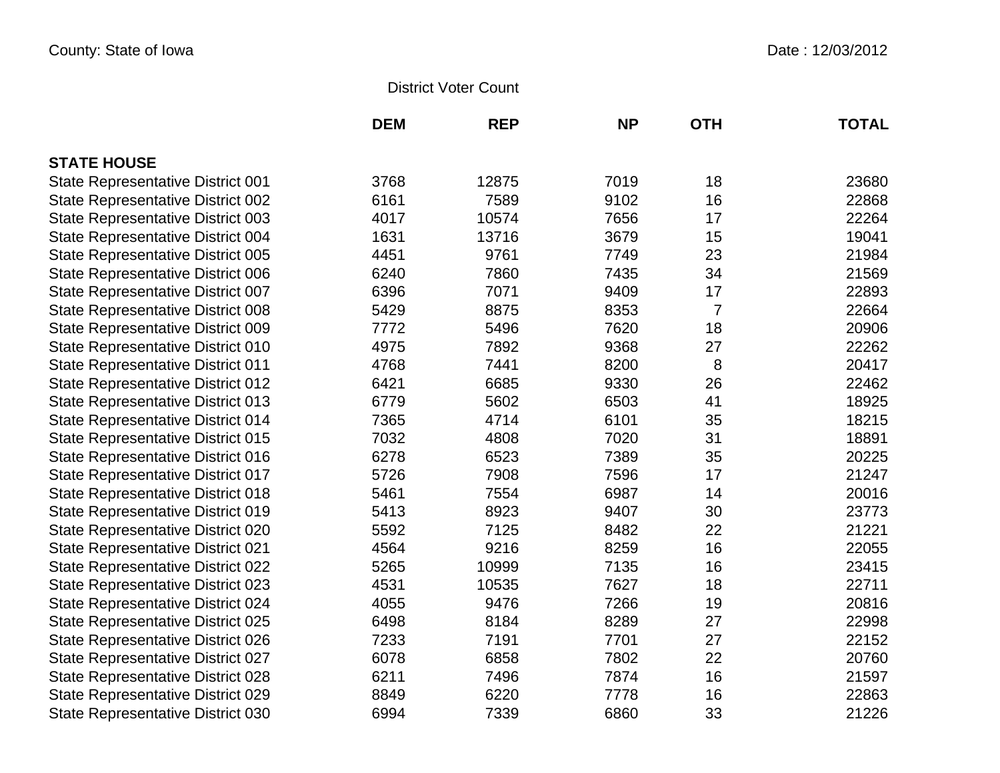## District Voter Count

|                                          | <b>DEM</b> | <b>REP</b> | <b>NP</b> | <b>OTH</b> | <b>TOTAL</b> |
|------------------------------------------|------------|------------|-----------|------------|--------------|
| <b>STATE HOUSE</b>                       |            |            |           |            |              |
| <b>State Representative District 001</b> | 3768       | 12875      | 7019      | 18         | 23680        |
| <b>State Representative District 002</b> | 6161       | 7589       | 9102      | 16         | 22868        |
| <b>State Representative District 003</b> | 4017       | 10574      | 7656      | 17         | 22264        |
| <b>State Representative District 004</b> | 1631       | 13716      | 3679      | 15         | 19041        |
| <b>State Representative District 005</b> | 4451       | 9761       | 7749      | 23         | 21984        |
| <b>State Representative District 006</b> | 6240       | 7860       | 7435      | 34         | 21569        |
| State Representative District 007        | 6396       | 7071       | 9409      | 17         | 22893        |
| <b>State Representative District 008</b> | 5429       | 8875       | 8353      | 7          | 22664        |
| <b>State Representative District 009</b> | 7772       | 5496       | 7620      | 18         | 20906        |
| <b>State Representative District 010</b> | 4975       | 7892       | 9368      | 27         | 22262        |
| <b>State Representative District 011</b> | 4768       | 7441       | 8200      | 8          | 20417        |
| <b>State Representative District 012</b> | 6421       | 6685       | 9330      | 26         | 22462        |
| <b>State Representative District 013</b> | 6779       | 5602       | 6503      | 41         | 18925        |
| <b>State Representative District 014</b> | 7365       | 4714       | 6101      | 35         | 18215        |
| <b>State Representative District 015</b> | 7032       | 4808       | 7020      | 31         | 18891        |
| <b>State Representative District 016</b> | 6278       | 6523       | 7389      | 35         | 20225        |
| <b>State Representative District 017</b> | 5726       | 7908       | 7596      | 17         | 21247        |
| <b>State Representative District 018</b> | 5461       | 7554       | 6987      | 14         | 20016        |
| <b>State Representative District 019</b> | 5413       | 8923       | 9407      | 30         | 23773        |
| <b>State Representative District 020</b> | 5592       | 7125       | 8482      | 22         | 21221        |
| <b>State Representative District 021</b> | 4564       | 9216       | 8259      | 16         | 22055        |
| <b>State Representative District 022</b> | 5265       | 10999      | 7135      | 16         | 23415        |
| <b>State Representative District 023</b> | 4531       | 10535      | 7627      | 18         | 22711        |
| <b>State Representative District 024</b> | 4055       | 9476       | 7266      | 19         | 20816        |
| <b>State Representative District 025</b> | 6498       | 8184       | 8289      | 27         | 22998        |
| <b>State Representative District 026</b> | 7233       | 7191       | 7701      | 27         | 22152        |
| <b>State Representative District 027</b> | 6078       | 6858       | 7802      | 22         | 20760        |
| <b>State Representative District 028</b> | 6211       | 7496       | 7874      | 16         | 21597        |
| <b>State Representative District 029</b> | 8849       | 6220       | 7778      | 16         | 22863        |
| <b>State Representative District 030</b> | 6994       | 7339       | 6860      | 33         | 21226        |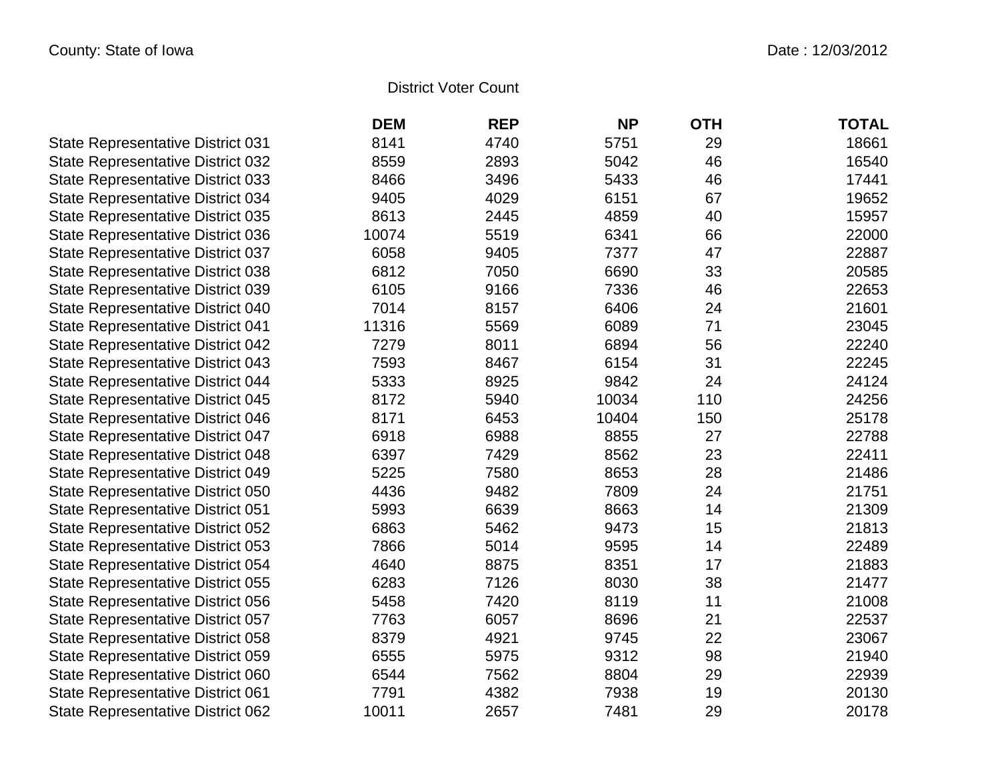## District Voter Count

|                                          | <b>DEM</b> | <b>REP</b> | <b>NP</b> | <b>OTH</b> | <b>TOTAL</b> |
|------------------------------------------|------------|------------|-----------|------------|--------------|
| <b>State Representative District 031</b> | 8141       | 4740       | 5751      | 29         | 18661        |
| <b>State Representative District 032</b> | 8559       | 2893       | 5042      | 46         | 16540        |
| State Representative District 033        | 8466       | 3496       | 5433      | 46         | 17441        |
| <b>State Representative District 034</b> | 9405       | 4029       | 6151      | 67         | 19652        |
| <b>State Representative District 035</b> | 8613       | 2445       | 4859      | 40         | 15957        |
| <b>State Representative District 036</b> | 10074      | 5519       | 6341      | 66         | 22000        |
| <b>State Representative District 037</b> | 6058       | 9405       | 7377      | 47         | 22887        |
| <b>State Representative District 038</b> | 6812       | 7050       | 6690      | 33         | 20585        |
| State Representative District 039        | 6105       | 9166       | 7336      | 46         | 22653        |
| State Representative District 040        | 7014       | 8157       | 6406      | 24         | 21601        |
| <b>State Representative District 041</b> | 11316      | 5569       | 6089      | 71         | 23045        |
| <b>State Representative District 042</b> | 7279       | 8011       | 6894      | 56         | 22240        |
| <b>State Representative District 043</b> | 7593       | 8467       | 6154      | 31         | 22245        |
| <b>State Representative District 044</b> | 5333       | 8925       | 9842      | 24         | 24124        |
| <b>State Representative District 045</b> | 8172       | 5940       | 10034     | 110        | 24256        |
| <b>State Representative District 046</b> | 8171       | 6453       | 10404     | 150        | 25178        |
| <b>State Representative District 047</b> | 6918       | 6988       | 8855      | 27         | 22788        |
| <b>State Representative District 048</b> | 6397       | 7429       | 8562      | 23         | 22411        |
| <b>State Representative District 049</b> | 5225       | 7580       | 8653      | 28         | 21486        |
| <b>State Representative District 050</b> | 4436       | 9482       | 7809      | 24         | 21751        |
| <b>State Representative District 051</b> | 5993       | 6639       | 8663      | 14         | 21309        |
| <b>State Representative District 052</b> | 6863       | 5462       | 9473      | 15         | 21813        |
| <b>State Representative District 053</b> | 7866       | 5014       | 9595      | 14         | 22489        |
| <b>State Representative District 054</b> | 4640       | 8875       | 8351      | 17         | 21883        |
| State Representative District 055        | 6283       | 7126       | 8030      | 38         | 21477        |
| <b>State Representative District 056</b> | 5458       | 7420       | 8119      | 11         | 21008        |
| <b>State Representative District 057</b> | 7763       | 6057       | 8696      | 21         | 22537        |
| <b>State Representative District 058</b> | 8379       | 4921       | 9745      | 22         | 23067        |
| <b>State Representative District 059</b> | 6555       | 5975       | 9312      | 98         | 21940        |
| State Representative District 060        | 6544       | 7562       | 8804      | 29         | 22939        |
| <b>State Representative District 061</b> | 7791       | 4382       | 7938      | 19         | 20130        |
| <b>State Representative District 062</b> | 10011      | 2657       | 7481      | 29         | 20178        |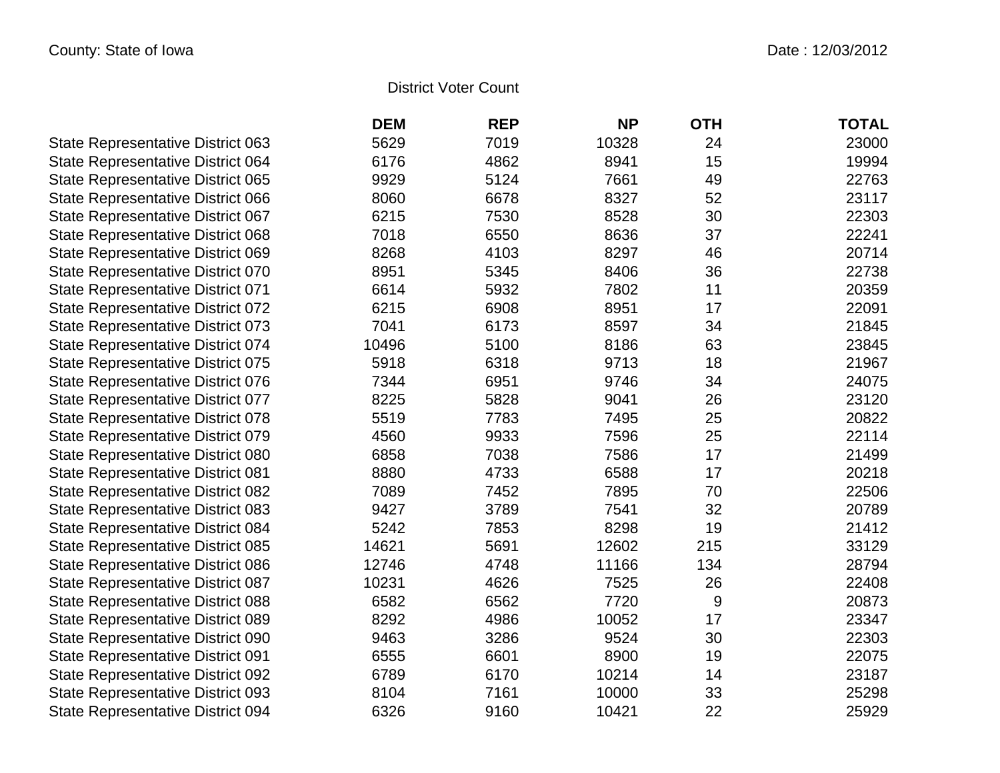## District Voter Count

|                                          | <b>DEM</b> | <b>REP</b> | <b>NP</b> | <b>OTH</b> | <b>TOTAL</b> |
|------------------------------------------|------------|------------|-----------|------------|--------------|
| <b>State Representative District 063</b> | 5629       | 7019       | 10328     | 24         | 23000        |
| State Representative District 064        | 6176       | 4862       | 8941      | 15         | 19994        |
| <b>State Representative District 065</b> | 9929       | 5124       | 7661      | 49         | 22763        |
| <b>State Representative District 066</b> | 8060       | 6678       | 8327      | 52         | 23117        |
| State Representative District 067        | 6215       | 7530       | 8528      | 30         | 22303        |
| <b>State Representative District 068</b> | 7018       | 6550       | 8636      | 37         | 22241        |
| State Representative District 069        | 8268       | 4103       | 8297      | 46         | 20714        |
| <b>State Representative District 070</b> | 8951       | 5345       | 8406      | 36         | 22738        |
| <b>State Representative District 071</b> | 6614       | 5932       | 7802      | 11         | 20359        |
| <b>State Representative District 072</b> | 6215       | 6908       | 8951      | 17         | 22091        |
| <b>State Representative District 073</b> | 7041       | 6173       | 8597      | 34         | 21845        |
| <b>State Representative District 074</b> | 10496      | 5100       | 8186      | 63         | 23845        |
| <b>State Representative District 075</b> | 5918       | 6318       | 9713      | 18         | 21967        |
| <b>State Representative District 076</b> | 7344       | 6951       | 9746      | 34         | 24075        |
| State Representative District 077        | 8225       | 5828       | 9041      | 26         | 23120        |
| <b>State Representative District 078</b> | 5519       | 7783       | 7495      | 25         | 20822        |
| <b>State Representative District 079</b> | 4560       | 9933       | 7596      | 25         | 22114        |
| <b>State Representative District 080</b> | 6858       | 7038       | 7586      | 17         | 21499        |
| <b>State Representative District 081</b> | 8880       | 4733       | 6588      | 17         | 20218        |
| <b>State Representative District 082</b> | 7089       | 7452       | 7895      | 70         | 22506        |
| <b>State Representative District 083</b> | 9427       | 3789       | 7541      | 32         | 20789        |
| <b>State Representative District 084</b> | 5242       | 7853       | 8298      | 19         | 21412        |
| <b>State Representative District 085</b> | 14621      | 5691       | 12602     | 215        | 33129        |
| <b>State Representative District 086</b> | 12746      | 4748       | 11166     | 134        | 28794        |
| <b>State Representative District 087</b> | 10231      | 4626       | 7525      | 26         | 22408        |
| <b>State Representative District 088</b> | 6582       | 6562       | 7720      | 9          | 20873        |
| <b>State Representative District 089</b> | 8292       | 4986       | 10052     | 17         | 23347        |
| <b>State Representative District 090</b> | 9463       | 3286       | 9524      | 30         | 22303        |
| <b>State Representative District 091</b> | 6555       | 6601       | 8900      | 19         | 22075        |
| <b>State Representative District 092</b> | 6789       | 6170       | 10214     | 14         | 23187        |
| <b>State Representative District 093</b> | 8104       | 7161       | 10000     | 33         | 25298        |
| <b>State Representative District 094</b> | 6326       | 9160       | 10421     | 22         | 25929        |